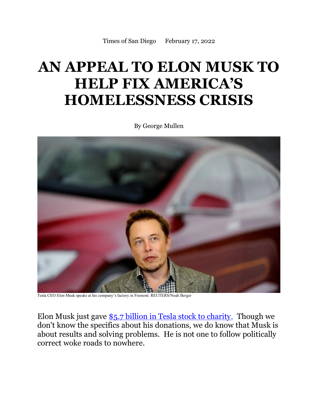## **AN APPEAL TO ELON MUSK TO HELP FIX AMERICA'S HOMELESSNESS CRISIS**

By George Mullen



Tesla CEO Elon Musk speaks at his company's factory in Fremont. REUTERS/Noah Berger

Elon Musk just gave [\\$5.7 billion in Tesla stock to charity.](https://www.wsj.com/articles/elon-musk-gave-5-7-billion-of-tesla-shares-to-charity-last-year-11644900584) Though we don't know the specifics about his donations, we do know that Musk is about results and solving problems. He is not one to follow politically correct woke roads to nowhere.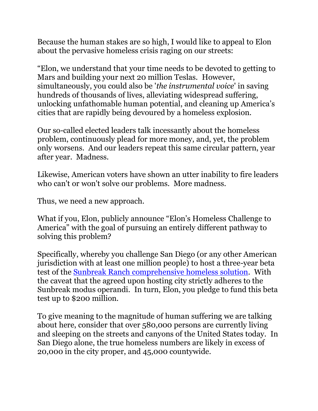Because the human stakes are so high, I would like to appeal to Elon about the pervasive homeless crisis raging on our streets:

"Elon, we understand that your time needs to be devoted to getting to Mars and building your next 20 million Teslas. However, simultaneously, you could also be '*the instrumental voice*' in saving hundreds of thousands of lives, alleviating widespread suffering, unlocking unfathomable human potential, and cleaning up America's cities that are rapidly being devoured by a homeless explosion.

Our so-called elected leaders talk incessantly about the homeless problem, continuously plead for more money, and, yet, the problem only worsens. And our leaders repeat this same circular pattern, year after year. Madness.

Likewise, American voters have shown an utter inability to fire leaders who can't or won't solve our problems. More madness.

Thus, we need a new approach.

What if you, Elon, publicly announce "Elon's Homeless Challenge to America" with the goal of pursuing an entirely different pathway to solving this problem?

Specifically, whereby you challenge San Diego (or any other American jurisdiction with at least one million people) to host a three-year beta test of the Sunbreak Ranch [comprehensive homeless solution.](https://studiorevolution.com/wp-content/uploads/Short-Term-Band-Aids.pdf) With the caveat that the agreed upon hosting city strictly adheres to the Sunbreak modus operandi. In turn, Elon, you pledge to fund this beta test up to \$200 million.

To give meaning to the magnitude of human suffering we are talking about here, consider that over 580,000 persons are currently living and sleeping on the streets and canyons of the United States today. In San Diego alone, the true homeless numbers are likely in excess of 20,000 in the city proper, and 45,000 countywide.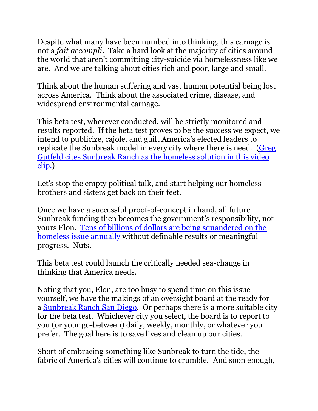Despite what many have been numbed into thinking, this carnage is not a *fait accompli*. Take a hard look at the majority of cities around the world that aren't committing city-suicide via homelessness like we are. And we are talking about cities rich and poor, large and small.

Think about the human suffering and vast human potential being lost across America. Think about the associated crime, disease, and widespread environmental carnage.

This beta test, wherever conducted, will be strictly monitored and results reported. If the beta test proves to be the success we expect, we intend to publicize, cajole, and guilt America's elected leaders to replicate the Sunbreak model in every city where there is need. [\(Greg](https://video.foxnews.com/v/6103140178001?playlist_id=1040983441001#sp=show-clips)  [Gutfeld cites Sunbreak Ranch as the homeless solution in this video](https://video.foxnews.com/v/6103140178001?playlist_id=1040983441001#sp=show-clips)  [clip.\)](https://video.foxnews.com/v/6103140178001?playlist_id=1040983441001#sp=show-clips)

Let's stop the empty political talk, and start helping our homeless brothers and sisters get back on their feet.

Once we have a successful proof-of-concept in hand, all future Sunbreak funding then becomes the government's responsibility, not yours Elon. [Tens of billions of dollars are being squandered on the](https://apnews.com/article/business-california-los-angeles-gavin-newsom-homelessness-f971c42abf024e8c84ab2d89bc4a8910)  [homeless issue](https://apnews.com/article/business-california-los-angeles-gavin-newsom-homelessness-f971c42abf024e8c84ab2d89bc4a8910) annually without definable results or meaningful progress. Nuts.

This beta test could launch the critically needed sea-change in thinking that America needs.

Noting that you, Elon, are too busy to spend time on this issue yourself, we have the makings of an oversight board at the ready for a [Sunbreak Ranch San Diego.](https://sunbreakranch.com/) Or perhaps there is a more suitable city for the beta test. Whichever city you select, the board is to report to you (or your go-between) daily, weekly, monthly, or whatever you prefer. The goal here is to save lives and clean up our cities.

Short of embracing something like Sunbreak to turn the tide, the fabric of America's cities will continue to crumble. And soon enough,